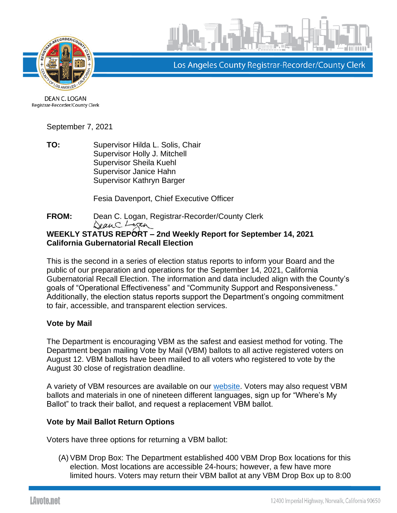



Los Angeles County Registrar-Recorder/County Clerk

DEAN C. LOGAN Registrar-Recorder/County Clerk

September 7, 2021

**TO:** Supervisor Hilda L. Solis, Chair Supervisor Holly J. Mitchell Supervisor Sheila Kuehl Supervisor Janice Hahn Supervisor Kathryn Barger

Fesia Davenport, Chief Executive Officer

**FROM:** Dean C. Logan, Registrar-Recorder/County Clerk DeanC. Logan

### **WEEKLY STATUS REPORT – 2nd Weekly Report for September 14, 2021 California Gubernatorial Recall Election**

This is the second in a series of election status reports to inform your Board and the public of our preparation and operations for the September 14, 2021, California Gubernatorial Recall Election. The information and data included align with the County's goals of "Operational Effectiveness" and "Community Support and Responsiveness." Additionally, the election status reports support the Department's ongoing commitment to fair, accessible, and transparent election services.

### **Vote by Mail**

The Department is encouraging VBM as the safest and easiest method for voting. The Department began mailing Vote by Mail (VBM) ballots to all active registered voters on August 12. VBM ballots have been mailed to all voters who registered to vote by the August 30 close of registration deadline.

A variety of VBM resources are available on our [website.](https://lavote.net/home/voting-elections/voting-options/vote-by-mail/how-to-vote-by-mail) Voters may also request VBM ballots and materials in one of nineteen different languages, sign up for "Where's My Ballot" to track their ballot, and request a replacement VBM ballot.

### **Vote by Mail Ballot Return Options**

Voters have three options for returning a VBM ballot:

(A)VBM Drop Box: The Department established 400 VBM Drop Box locations for this election. Most locations are accessible 24-hours; however, a few have more limited hours. Voters may return their VBM ballot at any VBM Drop Box up to 8:00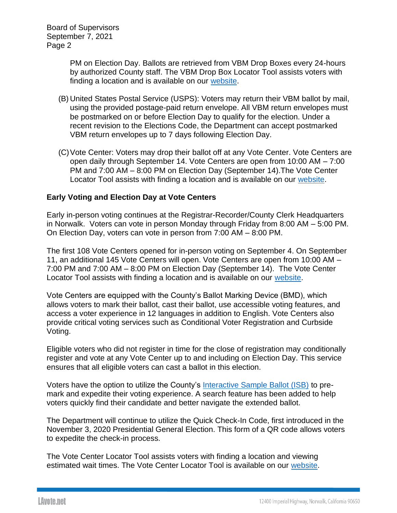Board of Supervisors September 7, 2021 Page 2

> PM on Election Day. Ballots are retrieved from VBM Drop Boxes every 24-hours by authorized County staff. The VBM Drop Box Locator Tool assists voters with finding a location and is available on our [website.](https://locator.lavote.net/locations/vbm?id=4278&culture=en)

- (B) United States Postal Service (USPS): Voters may return their VBM ballot by mail, using the provided postage-paid return envelope. All VBM return envelopes must be postmarked on or before Election Day to qualify for the election. Under a recent revision to the Elections Code, the Department can accept postmarked VBM return envelopes up to 7 days following Election Day.
- (C)Vote Center: Voters may drop their ballot off at any Vote Center. Vote Centers are open daily through September 14. Vote Centers are open from 10:00 AM – 7:00 PM and 7:00 AM – 8:00 PM on Election Day (September 14).The Vote Center Locator Tool assists with finding a location and is available on our [website.](https://locator.lavote.net/locations/vc?id=4278&culture=en)

### **Early Voting and Election Day at Vote Centers**

Early in-person voting continues at the Registrar-Recorder/County Clerk Headquarters in Norwalk. Voters can vote in person Monday through Friday from 8:00 AM – 5:00 PM. On Election Day, voters can vote in person from 7:00 AM – 8:00 PM.

The first 108 Vote Centers opened for in-person voting on September 4. On September 11, an additional 145 Vote Centers will open. Vote Centers are open from 10:00 AM – 7:00 PM and 7:00 AM – 8:00 PM on Election Day (September 14). The Vote Center Locator Tool assists with finding a location and is available on our [website.](https://locator.lavote.net/locations/vc?id=4278&culture=en)

Vote Centers are equipped with the County's Ballot Marking Device (BMD), which allows voters to mark their ballot, cast their ballot, use accessible voting features, and access a voter experience in 12 languages in addition to English. Vote Centers also provide critical voting services such as Conditional Voter Registration and Curbside Voting.

Eligible voters who did not register in time for the close of registration may conditionally register and vote at any Vote Center up to and including on Election Day. This service ensures that all eligible voters can cast a ballot in this election.

Voters have the option to utilize the County's [Interactive Sample Ballot \(ISB\)](https://www.lavote.net/isb) to premark and expedite their voting experience. A search feature has been added to help voters quickly find their candidate and better navigate the extended ballot.

The Department will continue to utilize the Quick Check-In Code, first introduced in the November 3, 2020 Presidential General Election. This form of a QR code allows voters to expedite the check-in process.

The Vote Center Locator Tool assists voters with finding a location and viewing estimated wait times. The Vote Center Locator Tool is available on our [website.](https://locator.lavote.net/locations/vc?id=4278&culture=en)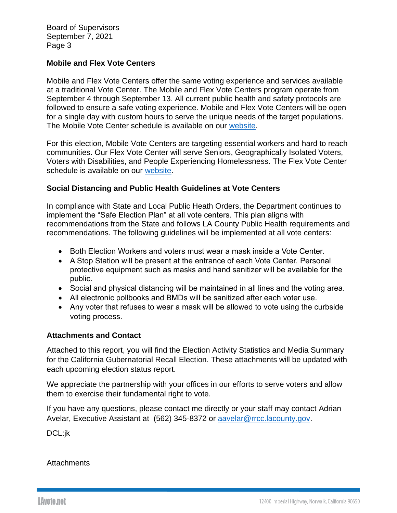Board of Supervisors September 7, 2021 Page 3

### **Mobile and Flex Vote Centers**

Mobile and Flex Vote Centers offer the same voting experience and services available at a traditional Vote Center. The Mobile and Flex Vote Centers program operate from September 4 through September 13. All current public health and safety protocols are followed to ensure a safe voting experience. Mobile and Flex Vote Centers will be open for a single day with custom hours to serve the unique needs of the target populations. The Mobile Vote Center schedule is available on our [website.](https://lavote.net/docs/rrcc/election-info/09142021_Mobile-Vote-Center-Schedule.pdf)

For this election, Mobile Vote Centers are targeting essential workers and hard to reach communities. Our Flex Vote Center will serve Seniors, Geographically Isolated Voters, Voters with Disabilities, and People Experiencing Homelessness. The Flex Vote Center schedule is available on our [website.](https://www.lavote.net/docs/rrcc/election-info/09142021_Flex-Vote-Center-Schedule.pdf)

### **Social Distancing and Public Health Guidelines at Vote Centers**

In compliance with State and Local Public Heath Orders, the Department continues to implement the "Safe Election Plan" at all vote centers. This plan aligns with recommendations from the State and follows LA County Public Health requirements and recommendations. The following guidelines will be implemented at all vote centers:

- Both Election Workers and voters must wear a mask inside a Vote Center.
- A Stop Station will be present at the entrance of each Vote Center. Personal protective equipment such as masks and hand sanitizer will be available for the public.
- Social and physical distancing will be maintained in all lines and the voting area.
- All electronic pollbooks and BMDs will be sanitized after each voter use.
- Any voter that refuses to wear a mask will be allowed to vote using the curbside voting process.

### **Attachments and Contact**

Attached to this report, you will find the Election Activity Statistics and Media Summary for the California Gubernatorial Recall Election. These attachments will be updated with each upcoming election status report.

We appreciate the partnership with your offices in our efforts to serve voters and allow them to exercise their fundamental right to vote.

If you have any questions, please contact me directly or your staff may contact Adrian Avelar, Executive Assistant at (562) 345-8372 or [aavelar@rrcc.lacounty.gov.](mailto:aavelar@rrcc.lacounty.gov)

DCL:jk

### **Attachments**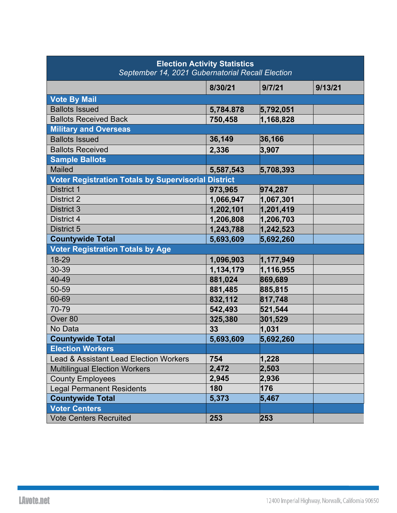| <b>Election Activity Statistics</b><br>September 14, 2021 Gubernatorial Recall Election |           |           |         |  |  |  |  |  |  |
|-----------------------------------------------------------------------------------------|-----------|-----------|---------|--|--|--|--|--|--|
|                                                                                         | 8/30/21   | 9/7/21    | 9/13/21 |  |  |  |  |  |  |
| <b>Vote By Mail</b>                                                                     |           |           |         |  |  |  |  |  |  |
| <b>Ballots Issued</b>                                                                   | 5,784.878 | 5,792,051 |         |  |  |  |  |  |  |
| <b>Ballots Received Back</b>                                                            | 750,458   | 1,168,828 |         |  |  |  |  |  |  |
| <b>Military and Overseas</b>                                                            |           |           |         |  |  |  |  |  |  |
| <b>Ballots Issued</b>                                                                   | 36,149    | 36,166    |         |  |  |  |  |  |  |
| <b>Ballots Received</b>                                                                 | 2,336     | 3,907     |         |  |  |  |  |  |  |
| <b>Sample Ballots</b>                                                                   |           |           |         |  |  |  |  |  |  |
| <b>Mailed</b>                                                                           | 5,587,543 | 5,708,393 |         |  |  |  |  |  |  |
| <b>Voter Registration Totals by Supervisorial District</b>                              |           |           |         |  |  |  |  |  |  |
| <b>District 1</b>                                                                       | 973,965   | 974,287   |         |  |  |  |  |  |  |
| <b>District 2</b>                                                                       | 1,066,947 | 1,067,301 |         |  |  |  |  |  |  |
| <b>District 3</b>                                                                       | 1,202,101 | 1,201,419 |         |  |  |  |  |  |  |
| District 4                                                                              | 1,206,808 | 1,206,703 |         |  |  |  |  |  |  |
| District 5                                                                              | 1,243,788 | 1,242,523 |         |  |  |  |  |  |  |
| <b>Countywide Total</b>                                                                 | 5,693,609 | 5,692,260 |         |  |  |  |  |  |  |
| <b>Voter Registration Totals by Age</b>                                                 |           |           |         |  |  |  |  |  |  |
| 18-29                                                                                   | 1,096,903 | 1,177,949 |         |  |  |  |  |  |  |
| 30-39                                                                                   | 1,134,179 | 1,116,955 |         |  |  |  |  |  |  |
| 40-49                                                                                   | 881,024   | 869,689   |         |  |  |  |  |  |  |
| 50-59                                                                                   | 881,485   | 885,815   |         |  |  |  |  |  |  |
| 60-69                                                                                   | 832,112   | 817,748   |         |  |  |  |  |  |  |
| 70-79                                                                                   | 542,493   | 521,544   |         |  |  |  |  |  |  |
| Over <sub>80</sub>                                                                      | 325,380   | 301,529   |         |  |  |  |  |  |  |
| No Data                                                                                 | 33        | 1,031     |         |  |  |  |  |  |  |
| <b>Countywide Total</b>                                                                 | 5,693,609 | 5,692,260 |         |  |  |  |  |  |  |
| <b>Election Workers</b>                                                                 |           |           |         |  |  |  |  |  |  |
| <b>Lead &amp; Assistant Lead Election Workers</b>                                       | 754       | 1,228     |         |  |  |  |  |  |  |
| <b>Multilingual Election Workers</b>                                                    | 2,472     | 2,503     |         |  |  |  |  |  |  |
| <b>County Employees</b>                                                                 | 2,945     | 2,936     |         |  |  |  |  |  |  |
| <b>Legal Permanent Residents</b>                                                        | 180       | 176       |         |  |  |  |  |  |  |
| <b>Countywide Total</b>                                                                 | 5,373     | 5,467     |         |  |  |  |  |  |  |
| <b>Voter Centers</b>                                                                    |           |           |         |  |  |  |  |  |  |
| <b>Vote Centers Recruited</b>                                                           | 253       | 253       |         |  |  |  |  |  |  |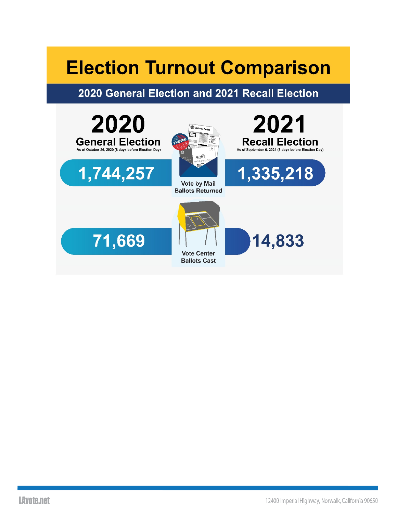# **Election Turnout Comparison**

### 2020 General Election and 2021 Recall Election

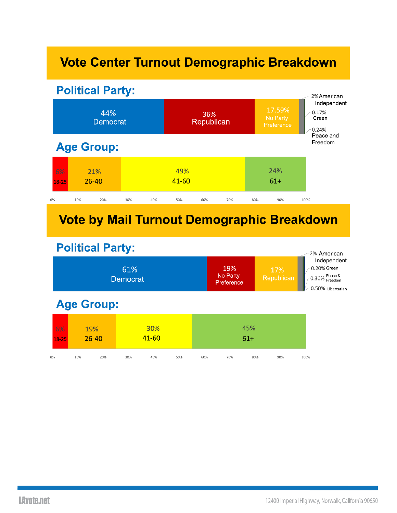# Vote Center Turnout Demographic Breakdown



## **Vote by Mail Turnout Demographic Breakdown**

### **Political Party:**

| r Ulltiudi Farty.<br>61%<br><b>Democrat</b> |                  |     |              |     |              |     | 19%<br>No Party<br>Preference |     | 17%<br>Republican |      | 2% American<br>Independent<br>0.20% Green<br>0.30% Peace &<br>0.50% Libertarian |
|---------------------------------------------|------------------|-----|--------------|-----|--------------|-----|-------------------------------|-----|-------------------|------|---------------------------------------------------------------------------------|
| <b>Age Group:</b>                           |                  |     |              |     |              |     |                               |     |                   |      |                                                                                 |
| 6%<br>$18 - 25$                             | 19%<br>$26 - 40$ |     | 30%<br>41-60 |     | 45%<br>$61+$ |     |                               |     |                   |      |                                                                                 |
| 0%                                          | 10%              | 20% | 30%          | 40% | 50%          | 60% | 70%                           | 80% | 90%               | 100% |                                                                                 |